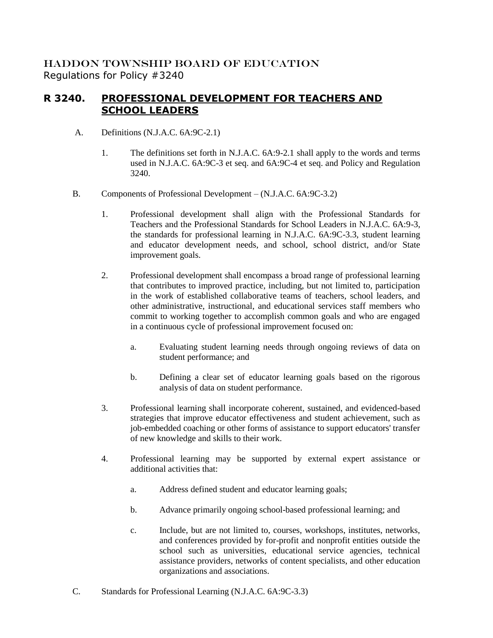HADDON TOWNSHIP BOARD OF EDUCATION Regulations for Policy #3240

## **R 3240. PROFESSIONAL DEVELOPMENT FOR TEACHERS AND SCHOOL LEADERS**

- A. Definitions (N.J.A.C. 6A:9C-2.1)
	- 1. The definitions set forth in N.J.A.C. 6A:9-2.1 shall apply to the words and terms used in N.J.A.C. 6A:9C-3 et seq. and 6A:9C-4 et seq. and Policy and Regulation 3240.
- B. Components of Professional Development (N.J.A.C. 6A:9C-3.2)
	- 1. Professional development shall align with the Professional Standards for Teachers and the Professional Standards for School Leaders in N.J.A.C. 6A:9-3, the standards for professional learning in N.J.A.C. 6A:9C-3.3, student learning and educator development needs, and school, school district, and/or State improvement goals.
	- 2. Professional development shall encompass a broad range of professional learning that contributes to improved practice, including, but not limited to, participation in the work of established collaborative teams of teachers, school leaders, and other administrative, instructional, and educational services staff members who commit to working together to accomplish common goals and who are engaged in a continuous cycle of professional improvement focused on:
		- a. Evaluating student learning needs through ongoing reviews of data on student performance; and
		- b. Defining a clear set of educator learning goals based on the rigorous analysis of data on student performance.
	- 3. Professional learning shall incorporate coherent, sustained, and evidenced-based strategies that improve educator effectiveness and student achievement, such as job-embedded coaching or other forms of assistance to support educators' transfer of new knowledge and skills to their work.
	- 4. Professional learning may be supported by external expert assistance or additional activities that:
		- a. Address defined student and educator learning goals;
		- b. Advance primarily ongoing school-based professional learning; and
		- c. Include, but are not limited to, courses, workshops, institutes, networks, and conferences provided by for-profit and nonprofit entities outside the school such as universities, educational service agencies, technical assistance providers, networks of content specialists, and other education organizations and associations.
- C. Standards for Professional Learning (N.J.A.C. 6A:9C-3.3)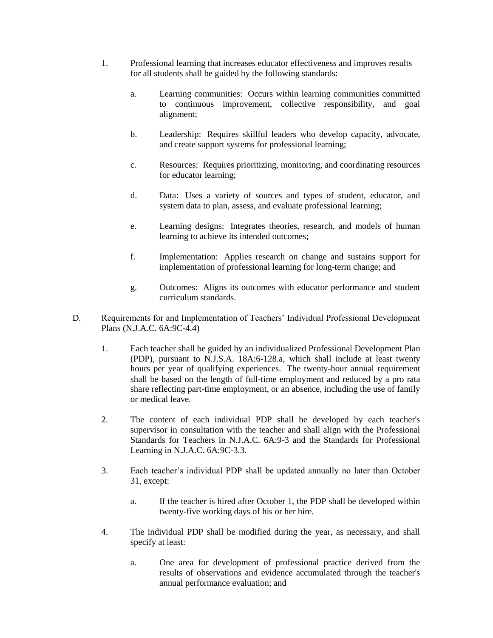- 1. Professional learning that increases educator effectiveness and improves results for all students shall be guided by the following standards:
	- a. Learning communities: Occurs within learning communities committed to continuous improvement, collective responsibility, and goal alignment;
	- b. Leadership: Requires skillful leaders who develop capacity, advocate, and create support systems for professional learning;
	- c. Resources: Requires prioritizing, monitoring, and coordinating resources for educator learning;
	- d. Data: Uses a variety of sources and types of student, educator, and system data to plan, assess, and evaluate professional learning;
	- e. Learning designs: Integrates theories, research, and models of human learning to achieve its intended outcomes;
	- f. Implementation: Applies research on change and sustains support for implementation of professional learning for long-term change; and
	- g. Outcomes: Aligns its outcomes with educator performance and student curriculum standards.
- D. Requirements for and Implementation of Teachers' Individual Professional Development Plans (N.J.A.C. 6A:9C-4.4)
	- 1. Each teacher shall be guided by an individualized Professional Development Plan (PDP), pursuant to N.J.S.A. 18A:6-128.a, which shall include at least twenty hours per year of qualifying experiences. The twenty-hour annual requirement shall be based on the length of full-time employment and reduced by a pro rata share reflecting part-time employment, or an absence, including the use of family or medical leave.
	- 2. The content of each individual PDP shall be developed by each teacher's supervisor in consultation with the teacher and shall align with the Professional Standards for Teachers in N.J.A.C. 6A:9-3 and the Standards for Professional Learning in N.J.A.C. 6A:9C-3.3.
	- 3. Each teacher's individual PDP shall be updated annually no later than October 31, except:
		- a. If the teacher is hired after October 1, the PDP shall be developed within twenty-five working days of his or her hire.
	- 4. The individual PDP shall be modified during the year, as necessary, and shall specify at least:
		- a. One area for development of professional practice derived from the results of observations and evidence accumulated through the teacher's annual performance evaluation; and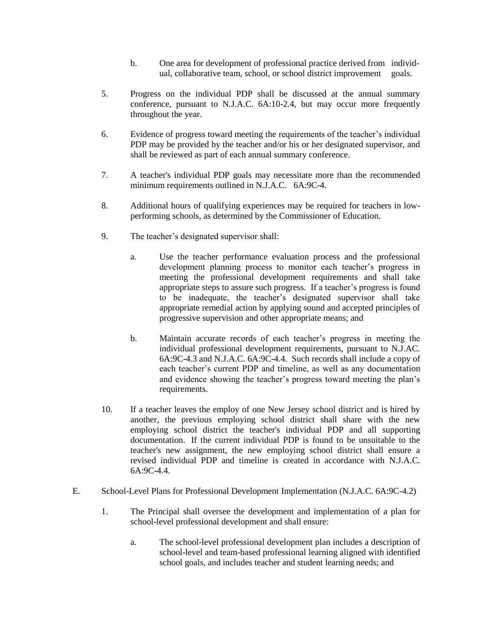- b. One area for development of professional practice derived from individual, collaborative team, school, or school district improvement goals.
- 5. Progress on the individual PDP shall be discussed at the annual summary conference, pursuant to N.J.A.C. 6A:10-2.4, but may occur more frequently throughout the year.
- 6. Evidence of progress toward meeting the requirements of the teacher's individual PDP may be provided by the teacher and/or his or her designated supervisor, and shall be reviewed as part of each annual summary conference.
- 7. A teacher's individual PDP goals may necessitate more than the recommended minimum requirements outlined in N.J.A.C. 6A:9C-4.
- 8. Additional hours of qualifying experiences may be required for teachers in lowperforming schools, as determined by the Commissioner of Education.
- 9. The teacher's designated supervisor shall:
	- a. Use the teacher performance evaluation process and the professional development planning process to monitor each teacher's progress in meeting the professional development requirements and shall take appropriate steps to assure such progress. If a teacher's progress is found to be inadequate, the teacher's designated supervisor shall take appropriate remedial action by applying sound and accepted principles of progressive supervision and other appropriate means; and
	- b. Maintain accurate records of each teacher's progress in meeting the individual professional development requirements, pursuant to N.J.AC. 6A:9C-4.3 and N.J.A.C. 6A:9C-4.4. Such records shall include a copy of each teacher's current PDP and timeline, as well as any documentation and evidence showing the teacher's progress toward meeting the plan's requirements.
- 10. If a teacher leaves the employ of one New Jersey school district and is hired by another, the previous employing school district shall share with the new employing school district the teacher's individual PDP and all supporting documentation. If the current individual PDP is found to be unsuitable to the teacher's new assignment, the new employing school district shall ensure a revised individual PDP and timeline is created in accordance with N.J.A.C. 6A:9C-4.4.
- E. School-Level Plans for Professional Development Implementation (N.J.A.C. 6A:9C-4.2)
	- 1. The Principal shall oversee the development and implementation of a plan for school-level professional development and shall ensure:
		- a. The school-level professional development plan includes a description of school-level and team-based professional learning aligned with identified school goals, and includes teacher and student learning needs; and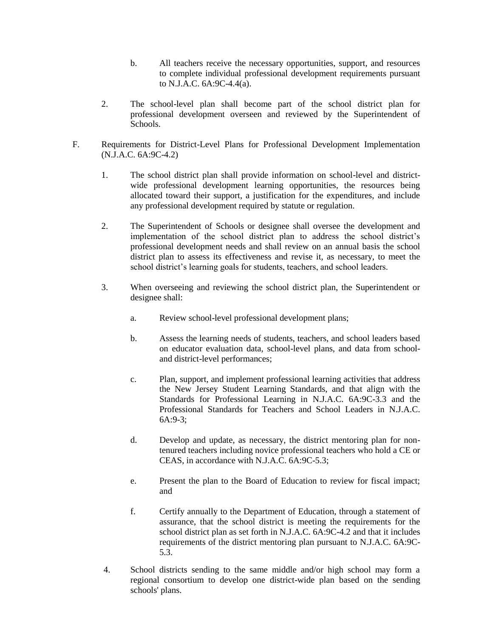- b. All teachers receive the necessary opportunities, support, and resources to complete individual professional development requirements pursuant to N.J.A.C. 6A:9C-4.4(a).
- 2. The school-level plan shall become part of the school district plan for professional development overseen and reviewed by the Superintendent of Schools.
- F. Requirements for District-Level Plans for Professional Development Implementation (N.J.A.C. 6A:9C-4.2)
	- 1. The school district plan shall provide information on school-level and districtwide professional development learning opportunities, the resources being allocated toward their support, a justification for the expenditures, and include any professional development required by statute or regulation.
	- 2. The Superintendent of Schools or designee shall oversee the development and implementation of the school district plan to address the school district's professional development needs and shall review on an annual basis the school district plan to assess its effectiveness and revise it, as necessary, to meet the school district's learning goals for students, teachers, and school leaders.
	- 3. When overseeing and reviewing the school district plan, the Superintendent or designee shall:
		- a. Review school-level professional development plans;
		- b. Assess the learning needs of students, teachers, and school leaders based on educator evaluation data, school-level plans, and data from schooland district-level performances;
		- c. Plan, support, and implement professional learning activities that address the New Jersey Student Learning Standards, and that align with the Standards for Professional Learning in N.J.A.C. 6A:9C-3.3 and the Professional Standards for Teachers and School Leaders in N.J.A.C. 6A:9-3;
		- d. Develop and update, as necessary, the district mentoring plan for nontenured teachers including novice professional teachers who hold a CE or CEAS, in accordance with N.J.A.C. 6A:9C-5.3;
		- e. Present the plan to the Board of Education to review for fiscal impact; and
		- f. Certify annually to the Department of Education, through a statement of assurance, that the school district is meeting the requirements for the school district plan as set forth in N.J.A.C. 6A:9C-4.2 and that it includes requirements of the district mentoring plan pursuant to N.J.A.C. 6A:9C-5.3.
	- 4. School districts sending to the same middle and/or high school may form a regional consortium to develop one district-wide plan based on the sending schools' plans.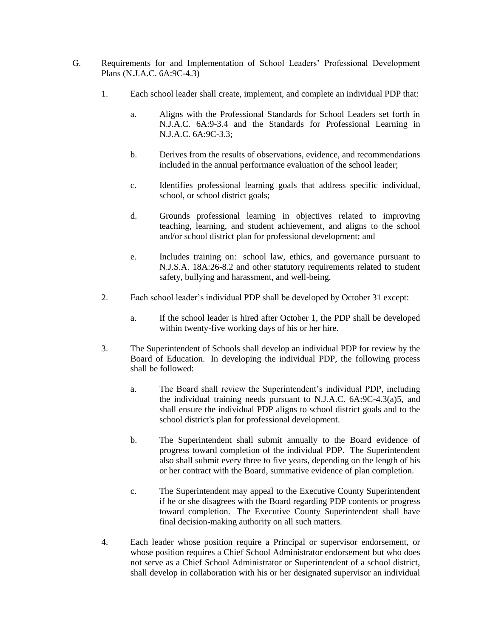- G. Requirements for and Implementation of School Leaders' Professional Development Plans (N.J.A.C. 6A:9C-4.3)
	- 1. Each school leader shall create, implement, and complete an individual PDP that:
		- a. Aligns with the Professional Standards for School Leaders set forth in N.J.A.C. 6A:9-3.4 and the Standards for Professional Learning in N.J.A.C. 6A:9C-3.3;
		- b. Derives from the results of observations, evidence, and recommendations included in the annual performance evaluation of the school leader;
		- c. Identifies professional learning goals that address specific individual, school, or school district goals;
		- d. Grounds professional learning in objectives related to improving teaching, learning, and student achievement, and aligns to the school and/or school district plan for professional development; and
		- e. Includes training on: school law, ethics, and governance pursuant to N.J.S.A. 18A:26-8.2 and other statutory requirements related to student safety, bullying and harassment, and well-being.
	- 2. Each school leader's individual PDP shall be developed by October 31 except:
		- a. If the school leader is hired after October 1, the PDP shall be developed within twenty-five working days of his or her hire.
	- 3. The Superintendent of Schools shall develop an individual PDP for review by the Board of Education. In developing the individual PDP, the following process shall be followed:
		- a. The Board shall review the Superintendent's individual PDP, including the individual training needs pursuant to N.J.A.C. 6A:9C-4.3(a)5, and shall ensure the individual PDP aligns to school district goals and to the school district's plan for professional development.
		- b. The Superintendent shall submit annually to the Board evidence of progress toward completion of the individual PDP. The Superintendent also shall submit every three to five years, depending on the length of his or her contract with the Board, summative evidence of plan completion.
		- c. The Superintendent may appeal to the Executive County Superintendent if he or she disagrees with the Board regarding PDP contents or progress toward completion. The Executive County Superintendent shall have final decision-making authority on all such matters.
	- 4. Each leader whose position require a Principal or supervisor endorsement, or whose position requires a Chief School Administrator endorsement but who does not serve as a Chief School Administrator or Superintendent of a school district, shall develop in collaboration with his or her designated supervisor an individual